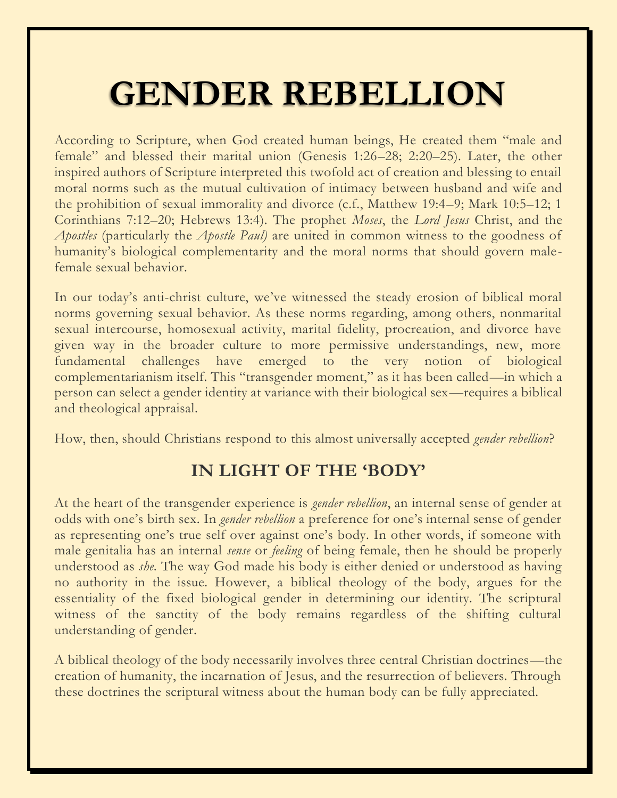# **GENDER REBELLION**

According to Scripture, when God created human beings, He created them "male and female" and blessed their marital union (Genesis 1:26–28; 2:20–25). Later, the other inspired authors of Scripture interpreted this twofold act of creation and blessing to entail moral norms such as the mutual cultivation of intimacy between husband and wife and the prohibition of sexual immorality and divorce (c.f., Matthew 19:4–9; Mark 10:5–12; 1 Corinthians 7:12–20; Hebrews 13:4). The prophet *Moses*, the *Lord Jesus* Christ, and the *Apostles* (particularly the *Apostle Paul)* are united in common witness to the goodness of humanity's biological complementarity and the moral norms that should govern malefemale sexual behavior.

In our today's anti-christ culture, we've witnessed the steady erosion of biblical moral norms governing sexual behavior. As these norms regarding, among others, nonmarital sexual intercourse, homosexual activity, marital fidelity, procreation, and divorce have given way in the broader culture to more permissive understandings, new, more fundamental challenges have emerged to the very notion of biological complementarianism itself. This "transgender moment," as it has been called—in which a person can select a gender identity at variance with their biological sex—requires a biblical and theological appraisal.

How, then, should Christians respond to this almost universally accepted *gender rebellion*?

## **IN LIGHT OF THE 'BODY'**

At the heart of the transgender experience is *gender rebellion*, an internal sense of gender at odds with one's birth sex. In *gender rebellion* a preference for one's internal sense of gender as representing one's true self over against one's body. In other words, if someone with male genitalia has an internal *sense* or *feeling* of being female, then he should be properly understood as *she*. The way God made his body is either denied or understood as having no authority in the issue. However, a biblical theology of the body, argues for the essentiality of the fixed biological gender in determining our identity. The scriptural witness of the sanctity of the body remains regardless of the shifting cultural understanding of gender.

A biblical theology of the body necessarily involves three central Christian doctrines—the creation of humanity, the incarnation of Jesus, and the resurrection of believers. Through these doctrines the scriptural witness about the human body can be fully appreciated.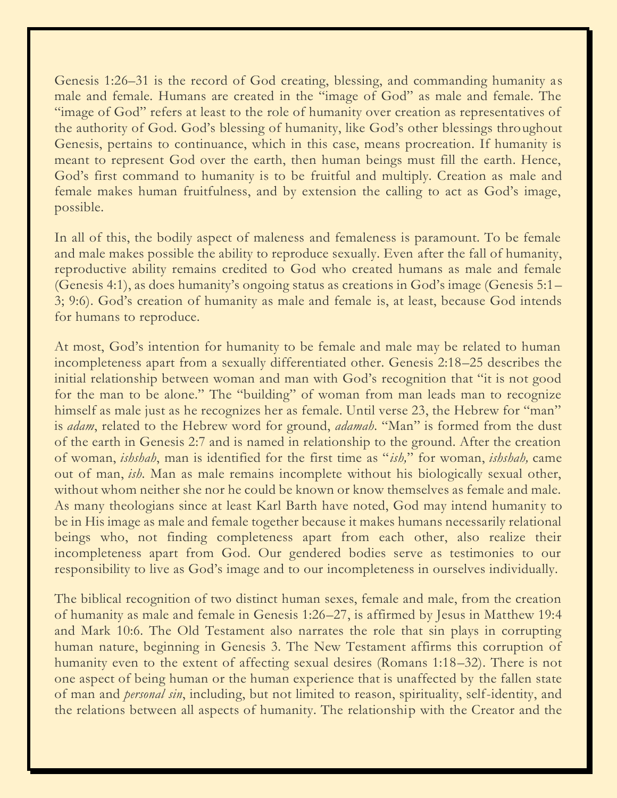Genesis 1:26–31 is the record of God creating, blessing, and commanding humanity as male and female. Humans are created in the "image of God" as male and female. The "image of God" refers at least to the role of humanity over creation as representatives of the authority of God. God's blessing of humanity, like God's other blessings throughout Genesis, pertains to continuance, which in this case, means procreation. If humanity is meant to represent God over the earth, then human beings must fill the earth. Hence, God's first command to humanity is to be fruitful and multiply. Creation as male and female makes human fruitfulness, and by extension the calling to act as God's image, possible.

In all of this, the bodily aspect of maleness and femaleness is paramount. To be female and male makes possible the ability to reproduce sexually. Even after the fall of humanity, reproductive ability remains credited to God who created humans as male and female (Genesis 4:1), as does humanity's ongoing status as creations in God's image (Genesis 5:1– 3; 9:6). God's creation of humanity as male and female is, at least, because God intends for humans to reproduce.

At most, God's intention for humanity to be female and male may be related to human incompleteness apart from a sexually differentiated other. Genesis 2:18–25 describes the initial relationship between woman and man with God's recognition that "it is not good for the man to be alone." The "building" of woman from man leads man to recognize himself as male just as he recognizes her as female. Until verse 23, the Hebrew for "man" is *adam*, related to the Hebrew word for ground, *adamah*. "Man" is formed from the dust of the earth in Genesis 2:7 and is named in relationship to the ground. After the creation of woman, *ishshah*, man is identified for the first time as "*ish,*" for woman, *ishshah,* came out of man, *ish*. Man as male remains incomplete without his biologically sexual other, without whom neither she nor he could be known or know themselves as female and male. As many theologians since at least Karl Barth have noted, God may intend humanity to be in His image as male and female together because it makes humans necessarily relational beings who, not finding completeness apart from each other, also realize their incompleteness apart from God. Our gendered bodies serve as testimonies to our responsibility to live as God's image and to our incompleteness in ourselves individually.

The biblical recognition of two distinct human sexes, female and male, from the creation of humanity as male and female in Genesis 1:26–27, is affirmed by Jesus in Matthew 19:4 and Mark 10:6. The Old Testament also narrates the role that sin plays in corrupting human nature, beginning in Genesis 3. The New Testament affirms this corruption of humanity even to the extent of affecting sexual desires (Romans 1:18–32). There is not one aspect of being human or the human experience that is unaffected by the fallen state of man and *personal sin*, including, but not limited to reason, spirituality, self-identity, and the relations between all aspects of humanity. The relationship with the Creator and the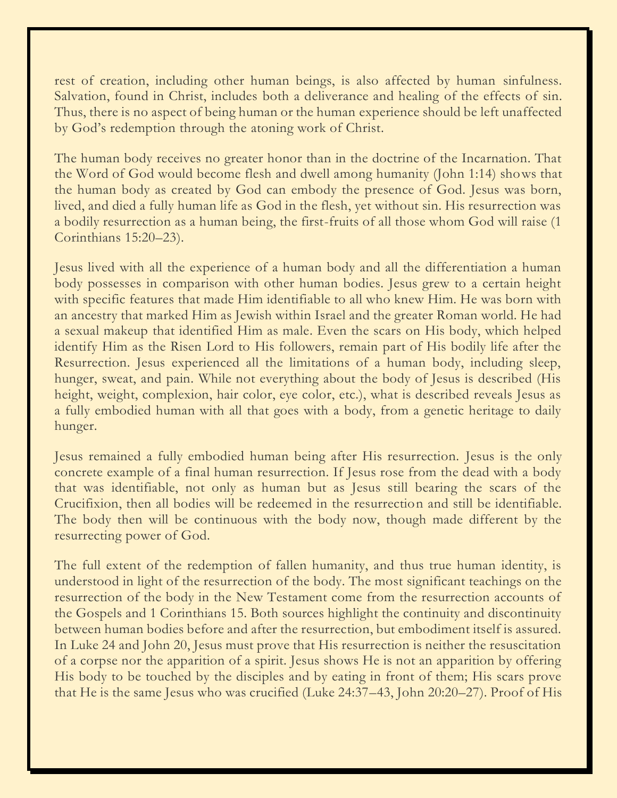rest of creation, including other human beings, is also affected by human sinfulness. Salvation, found in Christ, includes both a deliverance and healing of the effects of sin. Thus, there is no aspect of being human or the human experience should be left unaffected by God's redemption through the atoning work of Christ.

The human body receives no greater honor than in the doctrine of the Incarnation. That the Word of God would become flesh and dwell among humanity (John 1:14) shows that the human body as created by God can embody the presence of God. Jesus was born, lived, and died a fully human life as God in the flesh, yet without sin. His resurrection was a bodily resurrection as a human being, the first-fruits of all those whom God will raise (1 Corinthians 15:20–23).

Jesus lived with all the experience of a human body and all the differentiation a human body possesses in comparison with other human bodies. Jesus grew to a certain height with specific features that made Him identifiable to all who knew Him. He was born with an ancestry that marked Him as Jewish within Israel and the greater Roman world. He had a sexual makeup that identified Him as male. Even the scars on His body, which helped identify Him as the Risen Lord to His followers, remain part of His bodily life after the Resurrection. Jesus experienced all the limitations of a human body, including sleep, hunger, sweat, and pain. While not everything about the body of Jesus is described (His height, weight, complexion, hair color, eye color, etc.), what is described reveals Jesus as a fully embodied human with all that goes with a body, from a genetic heritage to daily hunger.

Jesus remained a fully embodied human being after His resurrection. Jesus is the only concrete example of a final human resurrection. If Jesus rose from the dead with a body that was identifiable, not only as human but as Jesus still bearing the scars of the Crucifixion, then all bodies will be redeemed in the resurrection and still be identifiable. The body then will be continuous with the body now, though made different by the resurrecting power of God.

The full extent of the redemption of fallen humanity, and thus true human identity, is understood in light of the resurrection of the body. The most significant teachings on the resurrection of the body in the New Testament come from the resurrection accounts of the Gospels and 1 Corinthians 15. Both sources highlight the continuity and discontinuity between human bodies before and after the resurrection, but embodiment itself is assured. In Luke 24 and John 20, Jesus must prove that His resurrection is neither the resuscitation of a corpse nor the apparition of a spirit. Jesus shows He is not an apparition by offering His body to be touched by the disciples and by eating in front of them; His scars prove that He is the same Jesus who was crucified (Luke 24:37–43, John 20:20–27). Proof of His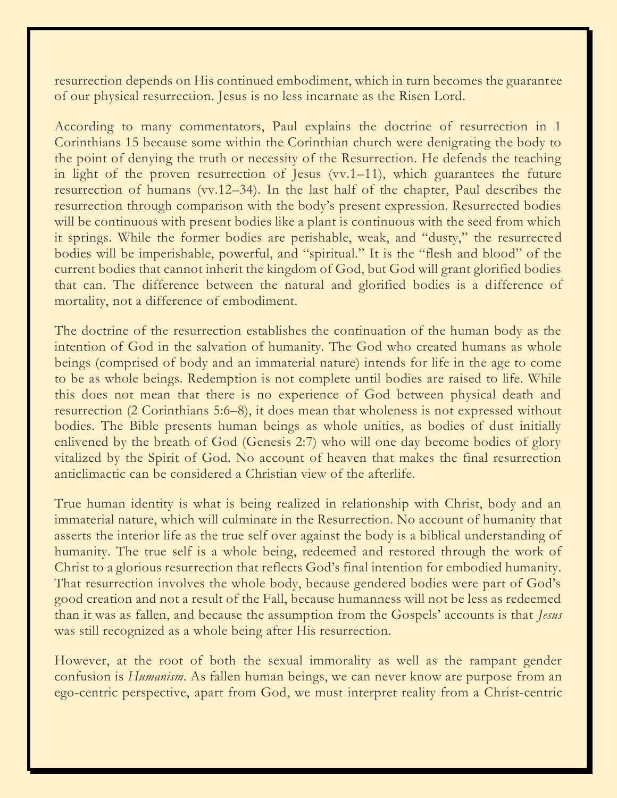resurrection depends on His continued embodiment, which in turn becomes the guarantee of our physical resurrection. Jesus is no less incarnate as the Risen Lord.

According to many commentators, Paul explains the doctrine of resurrection in 1 Corinthians 15 because some within the Corinthian church were denigrating the body to the point of denying the truth or necessity of the Resurrection. He defends the teaching in light of the proven resurrection of Jesus (vv.1–11), which guarantees the future resurrection of humans (vv.12–34). In the last half of the chapter, Paul describes the resurrection through comparison with the body's present expression. Resurrected bodies will be continuous with present bodies like a plant is continuous with the seed from which it springs. While the former bodies are perishable, weak, and "dusty," the resurrected bodies will be imperishable, powerful, and "spiritual." It is the "flesh and blood" of the current bodies that cannot inherit the kingdom of God, but God will grant glorified bodies that can. The difference between the natural and glorified bodies is a difference of mortality, not a difference of embodiment.

The doctrine of the resurrection establishes the continuation of the human body as the intention of God in the salvation of humanity. The God who created humans as whole beings (comprised of body and an immaterial nature) intends for life in the age to come to be as whole beings. Redemption is not complete until bodies are raised to life. While this does not mean that there is no experience of God between physical death and resurrection (2 Corinthians 5:6–8), it does mean that wholeness is not expressed without bodies. The Bible presents human beings as whole unities, as bodies of dust initially enlivened by the breath of God (Genesis 2:7) who will one day become bodies of glory vitalized by the Spirit of God. No account of heaven that makes the final resurrection anticlimactic can be considered a Christian view of the afterlife.

True human identity is what is being realized in relationship with Christ, body and an immaterial nature, which will culminate in the Resurrection. No account of humanity that asserts the interior life as the true self over against the body is a biblical understanding of humanity. The true self is a whole being, redeemed and restored through the work of Christ to a glorious resurrection that reflects God's final intention for embodied humanity. That resurrection involves the whole body, because gendered bodies were part of God's good creation and not a result of the Fall, because humanness will not be less as redeemed than it was as fallen, and because the assumption from the Gospels' accounts is that *Jesus* was still recognized as a whole being after His resurrection.

However, at the root of both the sexual immorality as well as the rampant gender confusion is *Humanism*. As fallen human beings, we can never know are purpose from an ego-centric perspective, apart from God, we must interpret reality from a Christ-centric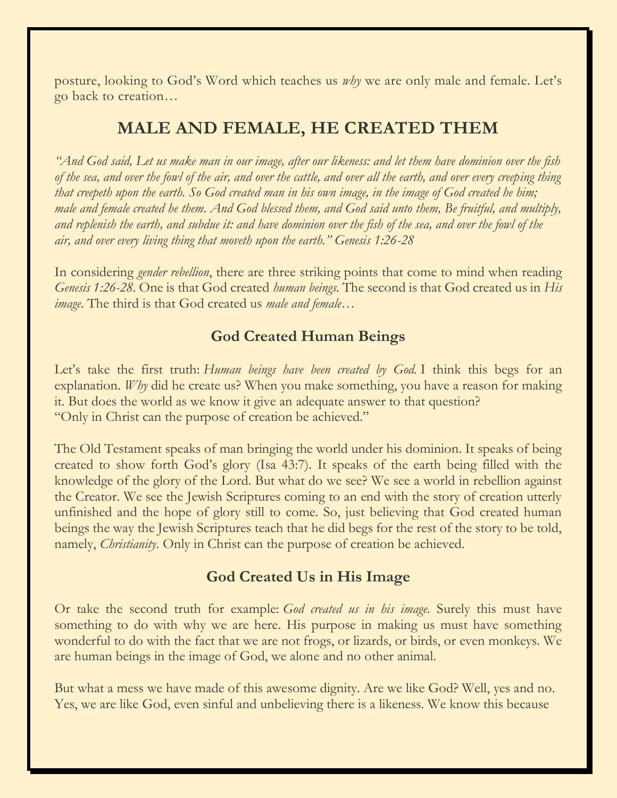posture, looking to God's Word which teaches us *why* we are only male and female. Let's go back to creation…

## **MALE AND FEMALE, HE CREATED THEM**

*"And God said, Let us make man in our image, after our likeness: and let them have dominion over the fish of the sea, and over the fowl of the air, and over the cattle, and over all the earth, and over every creeping thing that creepeth upon the earth. So God created man in his own image, in the image of God created he him; male and female created he them. And God blessed them, and God said unto them, Be fruitful, and multiply, and replenish the earth, and subdue it: and have dominion over the fish of the sea, and over the fowl of the air, and over every living thing that moveth upon the earth." Genesis 1:26-28*

In considering *gender rebellion*, there are three striking points that come to mind when reading *Genesis 1:26-28*. One is that God created *human beings.* The second is that God created us in *His image*. The third is that God created us *male and female…*

### **God Created Human Beings**

Let's take the first truth: *Human beings have been created by God.* I think this begs for an explanation. *Why* did he create us? When you make something, you have a reason for making it. But does the world as we know it give an adequate answer to that question? "Only in Christ can the purpose of creation be achieved."

The Old Testament speaks of man bringing the world under his dominion. It speaks of being created to show forth God's glory (Isa 43:7). It speaks of the earth being filled with the knowledge of the glory of the Lord. But what do we see? We see a world in rebellion against the Creator. We see the Jewish Scriptures coming to an end with the story of creation utterly unfinished and the hope of glory still to come. So, just believing that God created human beings the way the Jewish Scriptures teach that he did begs for the rest of the story to be told, namely, *Christianity*. Only in Christ can the purpose of creation be achieved.

#### **God Created Us in His Image**

Or take the second truth for example: *God created us in his image*. Surely this must have something to do with why we are here. His purpose in making us must have something wonderful to do with the fact that we are not frogs, or lizards, or birds, or even monkeys. We are human beings in the image of God, we alone and no other animal.

But what a mess we have made of this awesome dignity. Are we like God? Well, yes and no. Yes, we are like God, even sinful and unbelieving there is a likeness. We know this because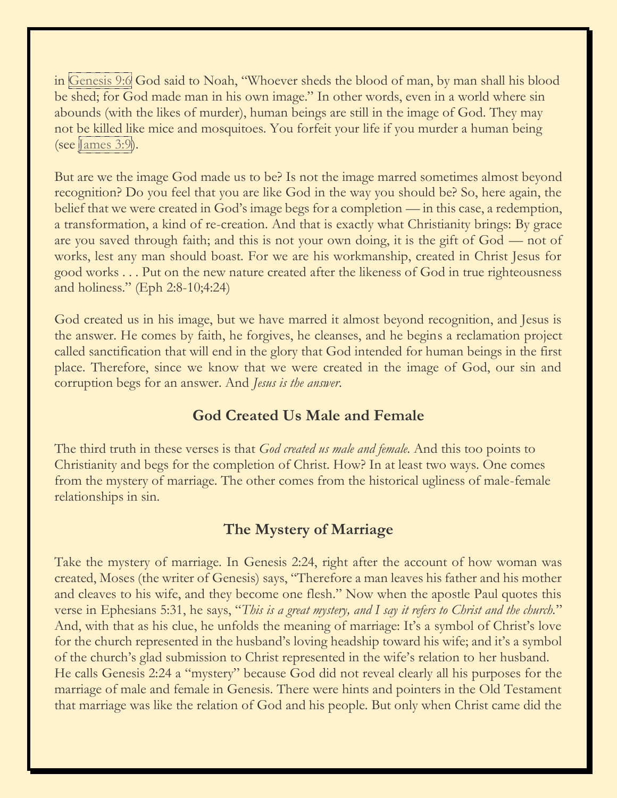in [Genesis](https://biblia.com/bible/esv/Gen%209.6) 9:6 God said to Noah, "Whoever sheds the blood of man, by man shall his blood be shed; for God made man in his own image." In other words, even in a world where sin abounds (with the likes of murder), human beings are still in the image of God. They may not be killed like mice and mosquitoes. You forfeit your life if you murder a human being (see [James](https://biblia.com/bible/esv/James%203.9)  $3:9$ ).

But are we the image God made us to be? Is not the image marred sometimes almost beyond recognition? Do you feel that you are like God in the way you should be? So, here again, the belief that we were created in God's image begs for a completion — in this case, a redemption, a transformation, a kind of re-creation. And that is exactly what Christianity brings: By grace are you saved through faith; and this is not your own doing, it is the gift of God — not of works, lest any man should boast. For we are his workmanship, created in Christ Jesus for good works . . . Put on the new nature created after the likeness of God in true righteousness and holiness." (Eph 2:8-10;4:24)

God created us in his image, but we have marred it almost beyond recognition, and Jesus is the answer. He comes by faith, he forgives, he cleanses, and he begins a reclamation project called sanctification that will end in the glory that God intended for human beings in the first place. Therefore, since we know that we were created in the image of God, our sin and corruption begs for an answer. And *Jesus is the answer*.

#### **God Created Us Male and Female**

The third truth in these verses is that *God created us male and female*. And this too points to Christianity and begs for the completion of Christ. How? In at least two ways. One comes from the mystery of marriage. The other comes from the historical ugliness of male-female relationships in sin.

## **The Mystery of Marriage**

Take the mystery of marriage. In Genesis 2:24, right after the account of how woman was created, Moses (the writer of Genesis) says, "Therefore a man leaves his father and his mother and cleaves to his wife, and they become one flesh." Now when the apostle Paul quotes this verse in Ephesians 5:31, he says, "*This is a great mystery, and I say it refers to Christ and the church.*" And, with that as his clue, he unfolds the meaning of marriage: It's a symbol of Christ's love for the church represented in the husband's loving headship toward his wife; and it's a symbol of the church's glad submission to Christ represented in the wife's relation to her husband. He calls Genesis 2:24 a "mystery" because God did not reveal clearly all his purposes for the marriage of male and female in Genesis. There were hints and pointers in the Old Testament that marriage was like the relation of God and his people. But only when Christ came did the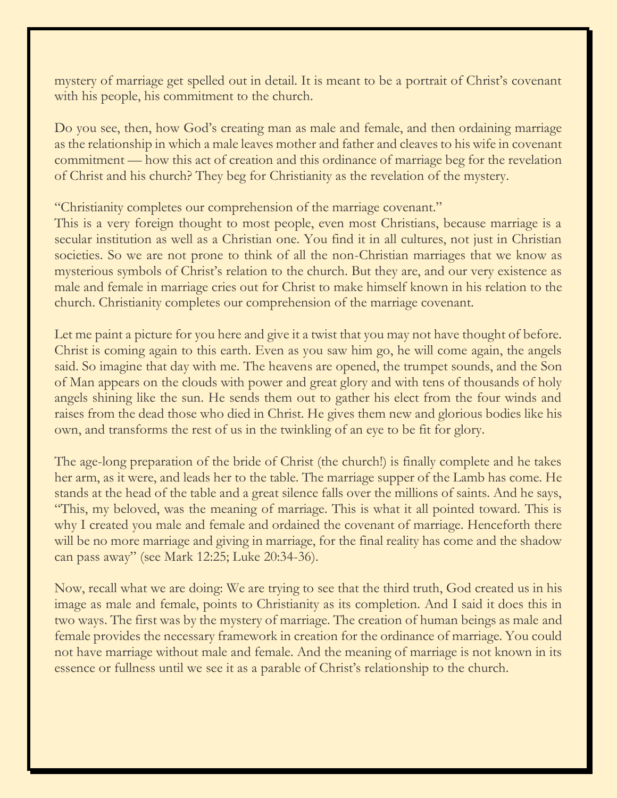mystery of marriage get spelled out in detail. It is meant to be a portrait of Christ's covenant with his people, his commitment to the church.

Do you see, then, how God's creating man as male and female, and then ordaining marriage as the relationship in which a male leaves mother and father and cleaves to his wife in covenant commitment — how this act of creation and this ordinance of marriage beg for the revelation of Christ and his church? They beg for Christianity as the revelation of the mystery.

"Christianity completes our comprehension of the marriage covenant."

This is a very foreign thought to most people, even most Christians, because marriage is a secular institution as well as a Christian one. You find it in all cultures, not just in Christian societies. So we are not prone to think of all the non-Christian marriages that we know as mysterious symbols of Christ's relation to the church. But they are, and our very existence as male and female in marriage cries out for Christ to make himself known in his relation to the church. Christianity completes our comprehension of the marriage covenant.

Let me paint a picture for you here and give it a twist that you may not have thought of before. Christ is coming again to this earth. Even as you saw him go, he will come again, the angels said. So imagine that day with me. The heavens are opened, the trumpet sounds, and the Son of Man appears on the clouds with power and great glory and with tens of thousands of holy angels shining like the sun. He sends them out to gather his elect from the four winds and raises from the dead those who died in Christ. He gives them new and glorious bodies like his own, and transforms the rest of us in the twinkling of an eye to be fit for glory.

The age-long preparation of the bride of Christ (the church!) is finally complete and he takes her arm, as it were, and leads her to the table. The marriage supper of the Lamb has come. He stands at the head of the table and a great silence falls over the millions of saints. And he says, "This, my beloved, was the meaning of marriage. This is what it all pointed toward. This is why I created you male and female and ordained the covenant of marriage. Henceforth there will be no more marriage and giving in marriage, for the final reality has come and the shadow can pass away" (see Mark 12:25; Luke 20:34-36).

Now, recall what we are doing: We are trying to see that the third truth, God created us in his image as male and female, points to Christianity as its completion. And I said it does this in two ways. The first was by the mystery of marriage. The creation of human beings as male and female provides the necessary framework in creation for the ordinance of marriage. You could not have marriage without male and female. And the meaning of marriage is not known in its essence or fullness until we see it as a parable of Christ's relationship to the church.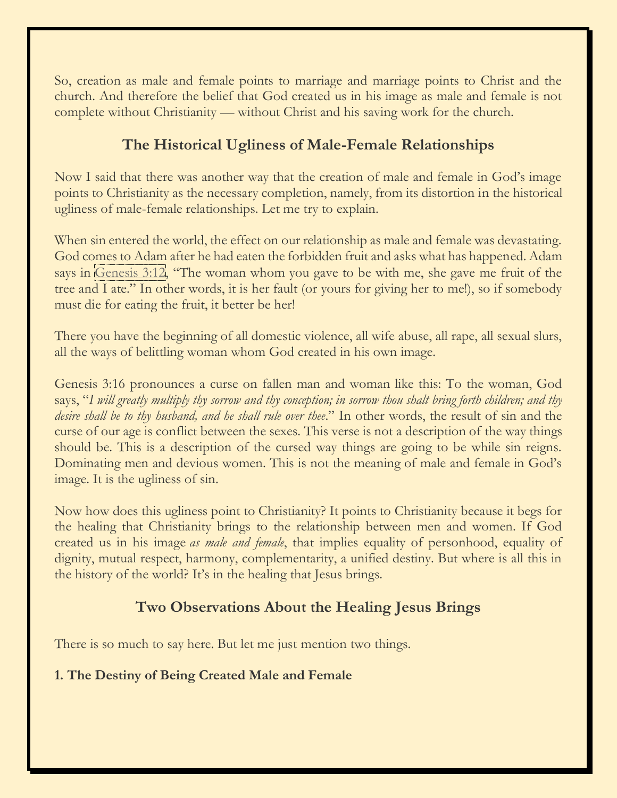So, creation as male and female points to marriage and marriage points to Christ and the church. And therefore the belief that God created us in his image as male and female is not complete without Christianity — without Christ and his saving work for the church.

## **The Historical Ugliness of Male-Female Relationships**

Now I said that there was another way that the creation of male and female in God's image points to Christianity as the necessary completion, namely, from its distortion in the historical ugliness of male-female relationships. Let me try to explain.

When sin entered the world, the effect on our relationship as male and female was devastating. God comes to Adam after he had eaten the forbidden fruit and asks what has happened. Adam says in [Genesis](https://biblia.com/bible/esv/Gen%203.12) 3:12, "The woman whom you gave to be with me, she gave me fruit of the tree and I ate." In other words, it is her fault (or yours for giving her to me!), so if somebody must die for eating the fruit, it better be her!

There you have the beginning of all domestic violence, all wife abuse, all rape, all sexual slurs, all the ways of belittling woman whom God created in his own image.

Genesis 3:16 pronounces a curse on fallen man and woman like this: To the woman, God says, "*I will greatly multiply thy sorrow and thy conception; in sorrow thou shalt bring forth children; and thy desire shall be to thy husband, and he shall rule over thee*." In other words, the result of sin and the curse of our age is conflict between the sexes. This verse is not a description of the way things should be. This is a description of the cursed way things are going to be while sin reigns. Dominating men and devious women. This is not the meaning of male and female in God's image. It is the ugliness of sin.

Now how does this ugliness point to Christianity? It points to Christianity because it begs for the healing that Christianity brings to the relationship between men and women. If God created us in his image *as male and female*, that implies equality of personhood, equality of dignity, mutual respect, harmony, complementarity, a unified destiny. But where is all this in the history of the world? It's in the healing that Jesus brings.

## **Two Observations About the Healing Jesus Brings**

There is so much to say here. But let me just mention two things.

#### **1. The Destiny of Being Created Male and Female**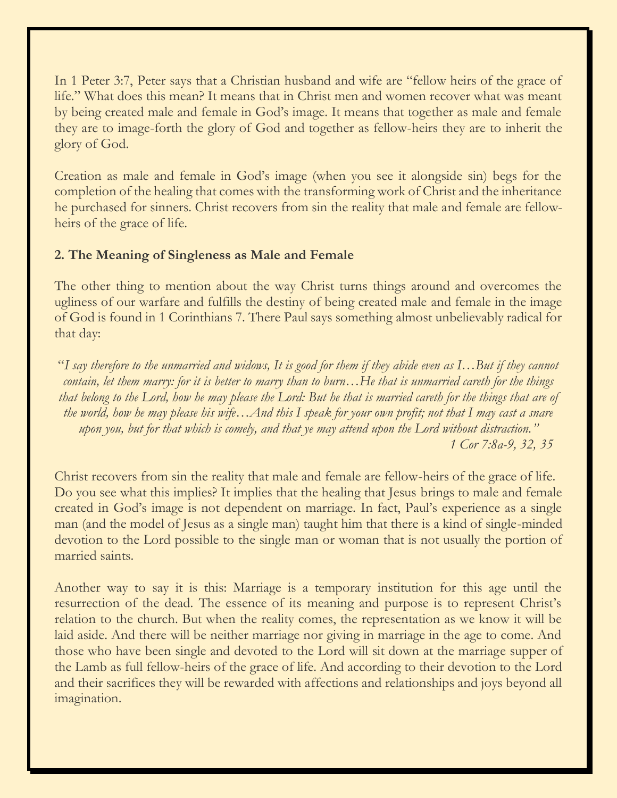In 1 Peter 3:7, Peter says that a Christian husband and wife are "fellow heirs of the grace of life." What does this mean? It means that in Christ men and women recover what was meant by being created male and female in God's image. It means that together as male and female they are to image-forth the glory of God and together as fellow-heirs they are to inherit the glory of God.

Creation as male and female in God's image (when you see it alongside sin) begs for the completion of the healing that comes with the transforming work of Christ and the inheritance he purchased for sinners. Christ recovers from sin the reality that male and female are fellowheirs of the grace of life.

#### **2. The Meaning of Singleness as Male and Female**

The other thing to mention about the way Christ turns things around and overcomes the ugliness of our warfare and fulfills the destiny of being created male and female in the image of God is found in 1 Corinthians 7. There Paul says something almost unbelievably radical for that day:

"*I say therefore to the unmarried and widows, It is good for them if they abide even as I…But if they cannot contain, let them marry: for it is better to marry than to burn…He that is unmarried careth for the things that belong to the Lord, how he may please the Lord: But he that is married careth for the things that are of the world, how he may please his wife…And this I speak for your own profit; not that I may cast a snare upon you, but for that which is comely, and that ye may attend upon the Lord without distraction." R 1 Cor 7:8a-9, 32, 35*

Christ recovers from sin the reality that male and female are fellow-heirs of the grace of life. Do you see what this implies? It implies that the healing that Jesus brings to male and female created in God's image is not dependent on marriage. In fact, Paul's experience as a single man (and the model of Jesus as a single man) taught him that there is a kind of single-minded devotion to the Lord possible to the single man or woman that is not usually the portion of married saints.

Another way to say it is this: Marriage is a temporary institution for this age until the resurrection of the dead. The essence of its meaning and purpose is to represent Christ's relation to the church. But when the reality comes, the representation as we know it will be laid aside. And there will be neither marriage nor giving in marriage in the age to come. And those who have been single and devoted to the Lord will sit down at the marriage supper of the Lamb as full fellow-heirs of the grace of life. And according to their devotion to the Lord and their sacrifices they will be rewarded with affections and relationships and joys beyond all imagination.